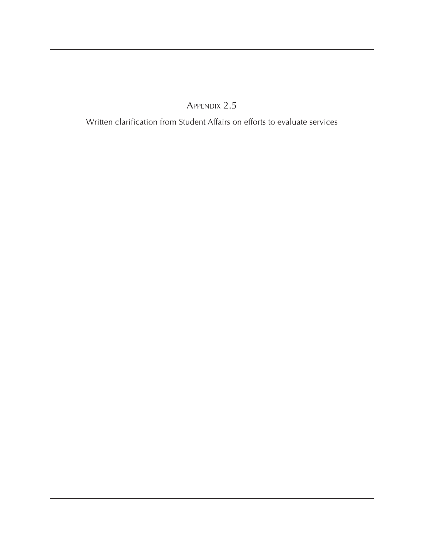Appendix 2.5

Written clarification from Student Affairs on efforts to evaluate services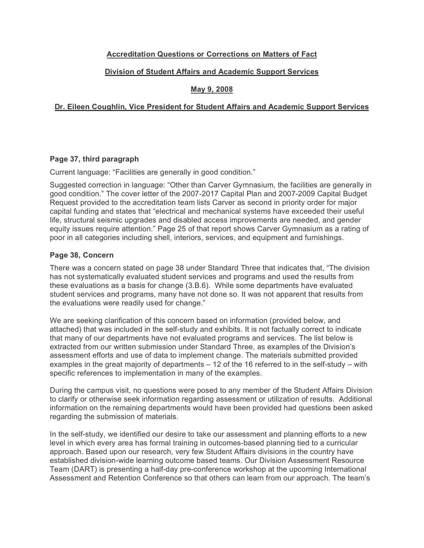# **Accreditation Questions or Corrections on Matters of Fact**

## **Division of Student Affairs and Academic Support Services**

## **May 9, 2008**

### **Dr. Eileen Coughlin, Vice President for Student Affairs and Academic Support Services**

### **Page 37, third paragraph**

Current language: "Facilities are generally in good condition."

Suggested correction in language: "Other than Carver Gymnasium, the facilities are generally in good condition." The cover letter of the 2007-2017 Capital Plan and 2007-2009 Capital Budget Request provided to the accreditation team lists Carver as second in priority order for major capital funding and states that "electrical and mechanical systems have exceeded their useful life, structural seismic upgrades and disabled access improvements are needed, and gender equity issues require attention." Page 25 of that report shows Carver Gymnasium as a rating of poor in all categories including shell, interiors, services, and equipment and furnishings.

### **Page 38, Concern**

There was a concern stated on page 38 under Standard Three that indicates that, "The division has not systematically evaluated student services and programs and used the results from these evaluations as a basis for change (3.B.6). While some departments have evaluated student services and programs, many have not done so. It was not apparent that results from the evaluations were readily used for change."

We are seeking clarification of this concern based on information (provided below, and attached) that was included in the self-study and exhibits. It is not factually correct to indicate that many of our departments have not evaluated programs and services. The list below is extracted from our written submission under Standard Three, as examples of the Division's assessment efforts and use of data to implement change. The materials submitted provided examples in the great majority of departments – 12 of the 16 referred to in the self-study – with specific references to implementation in many of the examples.

During the campus visit, no questions were posed to any member of the Student Affairs Division to clarify or otherwise seek information regarding assessment or utilization of results. Additional information on the remaining departments would have been provided had questions been asked regarding the submission of materials.

In the self-study, we identified our desire to take our assessment and planning efforts to a new level in which every area has formal training in outcomes-based planning tied to a curricular approach. Based upon our research, very few Student Affairs divisions in the country have established division-wide learning outcome based teams. Our Division Assessment Resource Team (DART) is presenting a half-day pre-conference workshop at the upcoming International Assessment and Retention Conference so that others can learn from our approach. The team's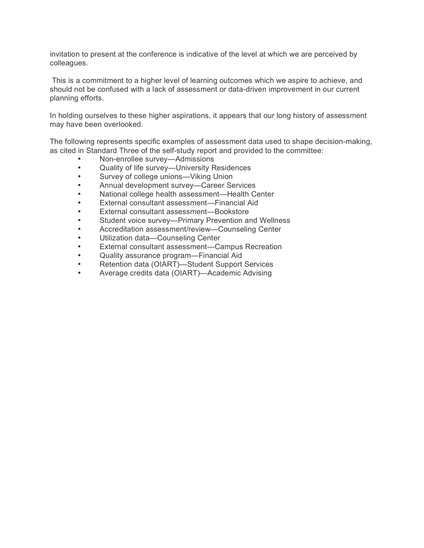invitation to present at the conference is indicative of the level at which we are perceived by colleagues.

This is a commitment to a higher level of learning outcomes which we aspire to achieve, and should not be confused with a lack of assessment or data-driven improvement in our current planning efforts.

In holding ourselves to these higher aspirations, it appears that our long history of assessment may have been overlooked.

The following represents specific examples of assessment data used to shape decision-making, as cited in Standard Three of the self-study report and provided to the committee:

- Non-enrollee survey—Admissions
- Quality of life survey-University Residences
- Survey of college unions—Viking Union
- Annual development survey—Career Services
- National college health assessment—Health Center
- External consultant assessment—Financial Aid
- External consultant assessment—Bookstore
- Student voice survey—Primary Prevention and Wellness
- Accreditation assessment/review—Counseling Center
- Utilization data—Counseling Center
- External consultant assessment—Campus Recreation
- Quality assurance program—Financial Aid
- Retention data (OIART)—Student Support Services
- Average credits data (OIART)—Academic Advising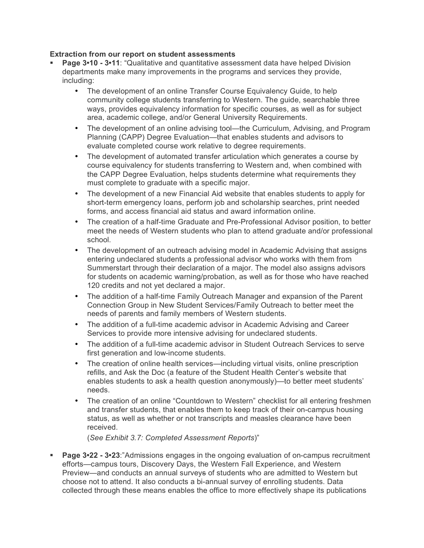### **Extraction from our report on student assessments**

- **Page 3•10 3•11:** "Qualitative and quantitative assessment data have helped Division departments make many improvements in the programs and services they provide, including:
	- The development of an online Transfer Course Equivalency Guide, to help community college students transferring to Western. The guide, searchable three ways, provides equivalency information for specific courses, as well as for subject area, academic college, and/or General University Requirements.
	- The development of an online advising tool—the Curriculum, Advising, and Program Planning (CAPP) Degree Evaluation—that enables students and advisors to evaluate completed course work relative to degree requirements.
	- The development of automated transfer articulation which generates a course by course equivalency for students transferring to Western and, when combined with the CAPP Degree Evaluation, helps students determine what requirements they must complete to graduate with a specific major.
	- The development of a new Financial Aid website that enables students to apply for short-term emergency loans, perform job and scholarship searches, print needed forms, and access financial aid status and award information online.
	- The creation of a half-time Graduate and Pre-Professional Advisor position, to better meet the needs of Western students who plan to attend graduate and/or professional school.
	- The development of an outreach advising model in Academic Advising that assigns entering undeclared students a professional advisor who works with them from Summerstart through their declaration of a major. The model also assigns advisors for students on academic warning/probation, as well as for those who have reached 120 credits and not yet declared a major.
	- The addition of a half-time Family Outreach Manager and expansion of the Parent Connection Group in New Student Services/Family Outreach to better meet the needs of parents and family members of Western students.
	- The addition of a full-time academic advisor in Academic Advising and Career Services to provide more intensive advising for undeclared students.
	- The addition of a full-time academic advisor in Student Outreach Services to serve first generation and low-income students.
	- The creation of online health services—including virtual visits, online prescription refills, and Ask the Doc (a feature of the Student Health Center's website that enables students to ask a health question anonymously)—to better meet students' needs.
	- The creation of an online "Countdown to Western" checklist for all entering freshmen and transfer students, that enables them to keep track of their on-campus housing status, as well as whether or not transcripts and measles clearance have been received.

(*See Exhibit 3.7: Completed Assessment Reports*)"

 **Page 3•22 - 3•23**:"Admissions engages in the ongoing evaluation of on-campus recruitment efforts—campus tours, Discovery Days, the Western Fall Experience, and Western Preview—and conducts an annual surveys of students who are admitted to Western but choose not to attend. It also conducts a bi-annual survey of enrolling students. Data collected through these means enables the office to more effectively shape its publications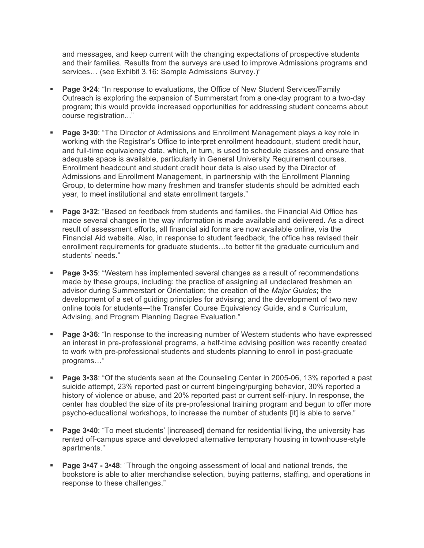and messages, and keep current with the changing expectations of prospective students and their families. Results from the surveys are used to improve Admissions programs and services… (see Exhibit 3.16: Sample Admissions Survey.)"

- **Page 3•24:** "In response to evaluations, the Office of New Student Services/Family Outreach is exploring the expansion of Summerstart from a one-day program to a two-day program; this would provide increased opportunities for addressing student concerns about course registration..."
- **Page 3•30**: "The Director of Admissions and Enrollment Management plays a key role in working with the Registrar's Office to interpret enrollment headcount, student credit hour, and full-time equivalency data, which, in turn, is used to schedule classes and ensure that adequate space is available, particularly in General University Requirement courses. Enrollment headcount and student credit hour data is also used by the Director of Admissions and Enrollment Management, in partnership with the Enrollment Planning Group, to determine how many freshmen and transfer students should be admitted each year, to meet institutional and state enrollment targets."
- **Page 3•32:** "Based on feedback from students and families, the Financial Aid Office has made several changes in the way information is made available and delivered. As a direct result of assessment efforts, all financial aid forms are now available online, via the Financial Aid website. Also, in response to student feedback, the office has revised their enrollment requirements for graduate students…to better fit the graduate curriculum and students' needs."
- **Page 3•35:** "Western has implemented several changes as a result of recommendations made by these groups, including: the practice of assigning all undeclared freshmen an advisor during Summerstart or Orientation; the creation of the *Major Guides*; the development of a set of guiding principles for advising; and the development of two new online tools for students—the Transfer Course Equivalency Guide, and a Curriculum, Advising, and Program Planning Degree Evaluation."
- **Page 3•36**: "In response to the increasing number of Western students who have expressed an interest in pre-professional programs, a half-time advising position was recently created to work with pre-professional students and students planning to enroll in post-graduate programs…"
- **Page 3•38**: "Of the students seen at the Counseling Center in 2005-06, 13% reported a past suicide attempt, 23% reported past or current bingeing/purging behavior, 30% reported a history of violence or abuse, and 20% reported past or current self-injury. In response, the center has doubled the size of its pre-professional training program and begun to offer more psycho-educational workshops, to increase the number of students [it] is able to serve."
- **Page 3•40**: "To meet students' [increased] demand for residential living, the university has rented off-campus space and developed alternative temporary housing in townhouse-style apartments."
- **Page 3•47 3•48**: "Through the ongoing assessment of local and national trends, the bookstore is able to alter merchandise selection, buying patterns, staffing, and operations in response to these challenges."